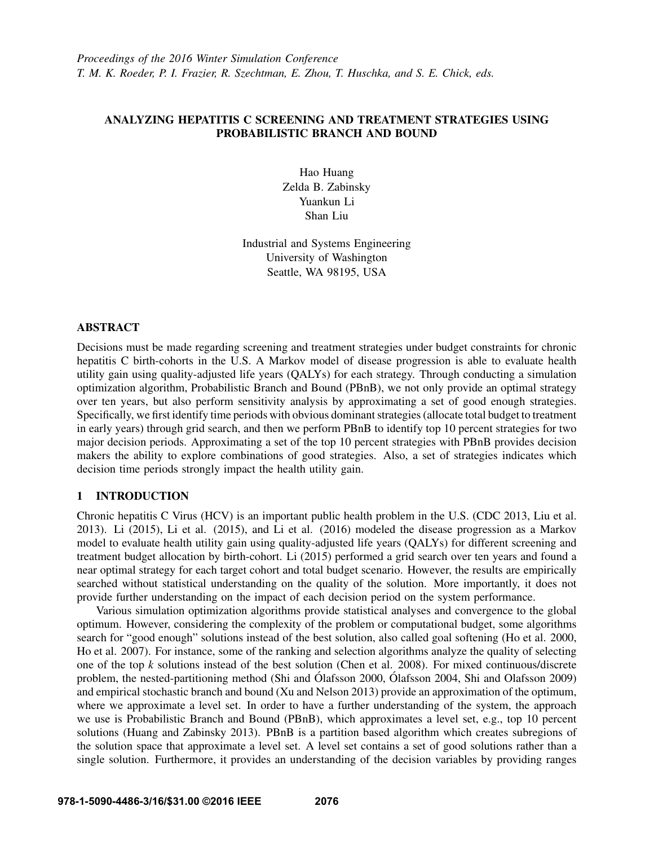*Proceedings of the 2016 Winter Simulation Conference T. M. K. Roeder, P. I. Frazier, R. Szechtman, E. Zhou, T. Huschka, and S. E. Chick, eds.*

# ANALYZING HEPATITIS C SCREENING AND TREATMENT STRATEGIES USING PROBABILISTIC BRANCH AND BOUND

Hao Huang Zelda B. Zabinsky Yuankun Li Shan Liu

Industrial and Systems Engineering University of Washington Seattle, WA 98195, USA

#### ABSTRACT

Decisions must be made regarding screening and treatment strategies under budget constraints for chronic hepatitis C birth-cohorts in the U.S. A Markov model of disease progression is able to evaluate health utility gain using quality-adjusted life years (QALYs) for each strategy. Through conducting a simulation optimization algorithm, Probabilistic Branch and Bound (PBnB), we not only provide an optimal strategy over ten years, but also perform sensitivity analysis by approximating a set of good enough strategies. Specifically, we first identify time periods with obvious dominant strategies (allocate total budget to treatment in early years) through grid search, and then we perform PBnB to identify top 10 percent strategies for two major decision periods. Approximating a set of the top 10 percent strategies with PBnB provides decision makers the ability to explore combinations of good strategies. Also, a set of strategies indicates which decision time periods strongly impact the health utility gain.

### 1 INTRODUCTION

Chronic hepatitis C Virus (HCV) is an important public health problem in the U.S. (CDC 2013, Liu et al. 2013). Li (2015), Li et al. (2015), and Li et al. (2016) modeled the disease progression as a Markov model to evaluate health utility gain using quality-adjusted life years (QALYs) for different screening and treatment budget allocation by birth-cohort. Li (2015) performed a grid search over ten years and found a near optimal strategy for each target cohort and total budget scenario. However, the results are empirically searched without statistical understanding on the quality of the solution. More importantly, it does not provide further understanding on the impact of each decision period on the system performance.

Various simulation optimization algorithms provide statistical analyses and convergence to the global optimum. However, considering the complexity of the problem or computational budget, some algorithms search for "good enough" solutions instead of the best solution, also called goal softening (Ho et al. 2000, Ho et al. 2007). For instance, some of the ranking and selection algorithms analyze the quality of selecting one of the top *k* solutions instead of the best solution (Chen et al. 2008). For mixed continuous/discrete problem, the nested-partitioning method (Shi and Ólafsson 2000, Ólafsson 2004, Shi and Olafsson 2009) and empirical stochastic branch and bound (Xu and Nelson 2013) provide an approximation of the optimum, where we approximate a level set. In order to have a further understanding of the system, the approach we use is Probabilistic Branch and Bound (PBnB), which approximates a level set, e.g., top 10 percent solutions (Huang and Zabinsky 2013). PBnB is a partition based algorithm which creates subregions of the solution space that approximate a level set. A level set contains a set of good solutions rather than a single solution. Furthermore, it provides an understanding of the decision variables by providing ranges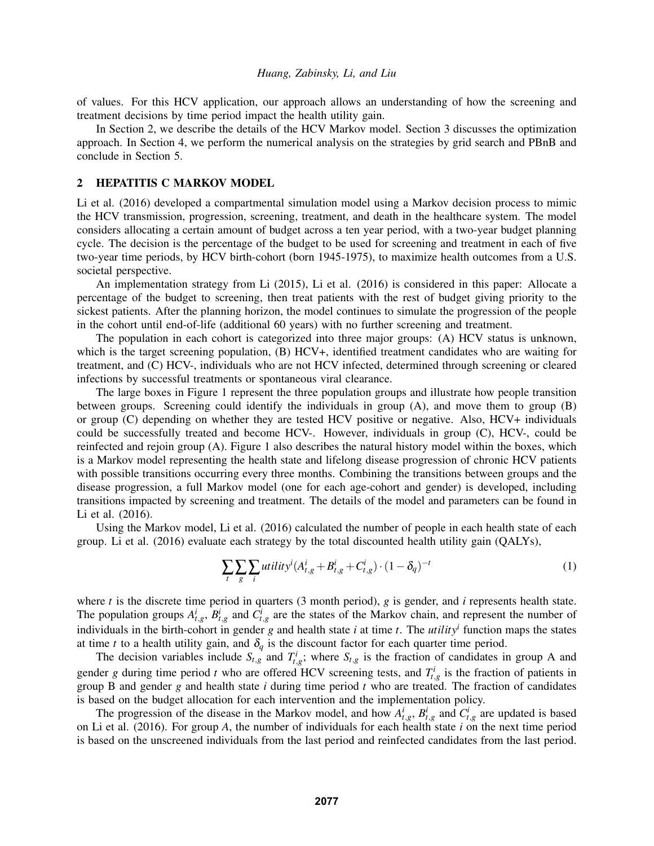of values. For this HCV application, our approach allows an understanding of how the screening and treatment decisions by time period impact the health utility gain.

In Section 2, we describe the details of the HCV Markov model. Section 3 discusses the optimization approach. In Section 4, we perform the numerical analysis on the strategies by grid search and PBnB and conclude in Section 5.

#### 2 HEPATITIS C MARKOV MODEL

Li et al. (2016) developed a compartmental simulation model using a Markov decision process to mimic the HCV transmission, progression, screening, treatment, and death in the healthcare system. The model considers allocating a certain amount of budget across a ten year period, with a two-year budget planning cycle. The decision is the percentage of the budget to be used for screening and treatment in each of five two-year time periods, by HCV birth-cohort (born 1945-1975), to maximize health outcomes from a U.S. societal perspective.

An implementation strategy from Li (2015), Li et al. (2016) is considered in this paper: Allocate a percentage of the budget to screening, then treat patients with the rest of budget giving priority to the sickest patients. After the planning horizon, the model continues to simulate the progression of the people in the cohort until end-of-life (additional 60 years) with no further screening and treatment.

The population in each cohort is categorized into three major groups: (A) HCV status is unknown, which is the target screening population, (B) HCV+, identified treatment candidates who are waiting for treatment, and (C) HCV-, individuals who are not HCV infected, determined through screening or cleared infections by successful treatments or spontaneous viral clearance.

The large boxes in Figure 1 represent the three population groups and illustrate how people transition between groups. Screening could identify the individuals in group (A), and move them to group (B) or group (C) depending on whether they are tested HCV positive or negative. Also, HCV+ individuals could be successfully treated and become HCV-. However, individuals in group (C), HCV-, could be reinfected and rejoin group (A). Figure 1 also describes the natural history model within the boxes, which is a Markov model representing the health state and lifelong disease progression of chronic HCV patients with possible transitions occurring every three months. Combining the transitions between groups and the disease progression, a full Markov model (one for each age-cohort and gender) is developed, including transitions impacted by screening and treatment. The details of the model and parameters can be found in Li et al. (2016).

Using the Markov model, Li et al. (2016) calculated the number of people in each health state of each group. Li et al. (2016) evaluate each strategy by the total discounted health utility gain (QALYs),

$$
\sum_{t} \sum_{g} \sum_{i} utility^{i} (A_{t,g}^{i} + B_{t,g}^{i} + C_{t,g}^{i}) \cdot (1 - \delta_{q})^{-t}
$$
\n(1)

where *t* is the discrete time period in quarters (3 month period), *g* is gender, and *i* represents health state. The population groups  $A_{t,g}^i$ ,  $B_{t,g}^i$  and  $C_{t,g}^i$  are the states of the Markov chain, and represent the number of individuals in the birth-cohort in gender *g* and health state *i* at time *t*. The *utility<sup>i</sup>* function maps the states at time *t* to a health utility gain, and  $\delta_q$  is the discount factor for each quarter time period.

The decision variables include  $S_{t,g}$  and  $T_{t,g}^i$ ; where  $S_{t,g}$  is the fraction of candidates in group A and gender *g* during time period *t* who are offered HCV screening tests, and  $T_{t,g}^i$  is the fraction of patients in group B and gender *g* and health state *i* during time period *t* who are treated. The fraction of candidates is based on the budget allocation for each intervention and the implementation policy.

The progression of the disease in the Markov model, and how  $A_{t,g}^i$ ,  $B_{t,g}^i$  and  $C_{t,g}^i$  are updated is based on Li et al. (2016). For group *A*, the number of individuals for each health state *i* on the next time period is based on the unscreened individuals from the last period and reinfected candidates from the last period.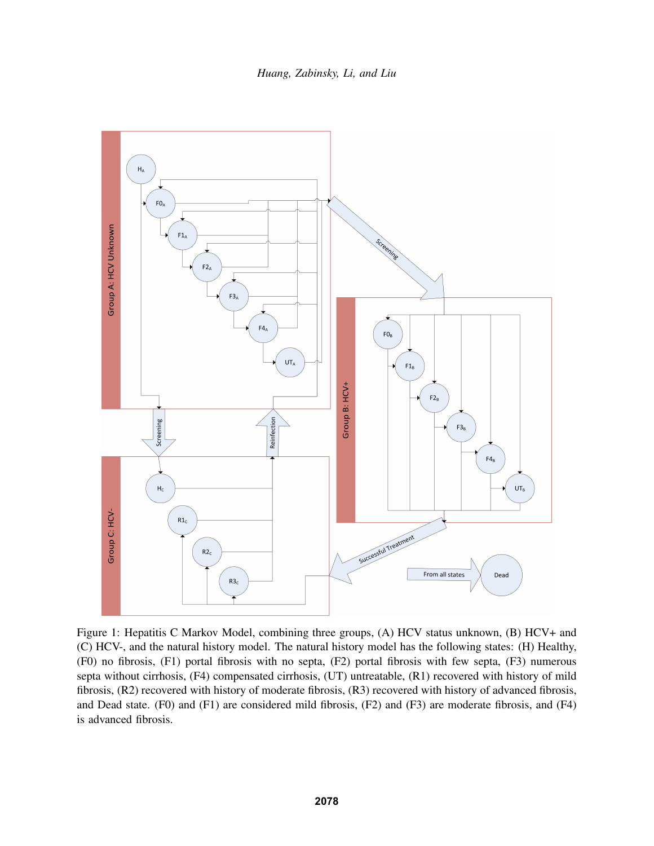*Huang, Zabinsky, Li, and Liu*



Figure 1: Hepatitis C Markov Model, combining three groups, (A) HCV status unknown, (B) HCV+ and (C) HCV-, and the natural history model. The natural history model has the following states: (H) Healthy, (F0) no fibrosis, (F1) portal fibrosis with no septa, (F2) portal fibrosis with few septa, (F3) numerous septa without cirrhosis, (F4) compensated cirrhosis, (UT) untreatable, (R1) recovered with history of mild fibrosis, (R2) recovered with history of moderate fibrosis, (R3) recovered with history of advanced fibrosis, and Dead state. (F0) and (F1) are considered mild fibrosis, (F2) and (F3) are moderate fibrosis, and (F4) is advanced fibrosis.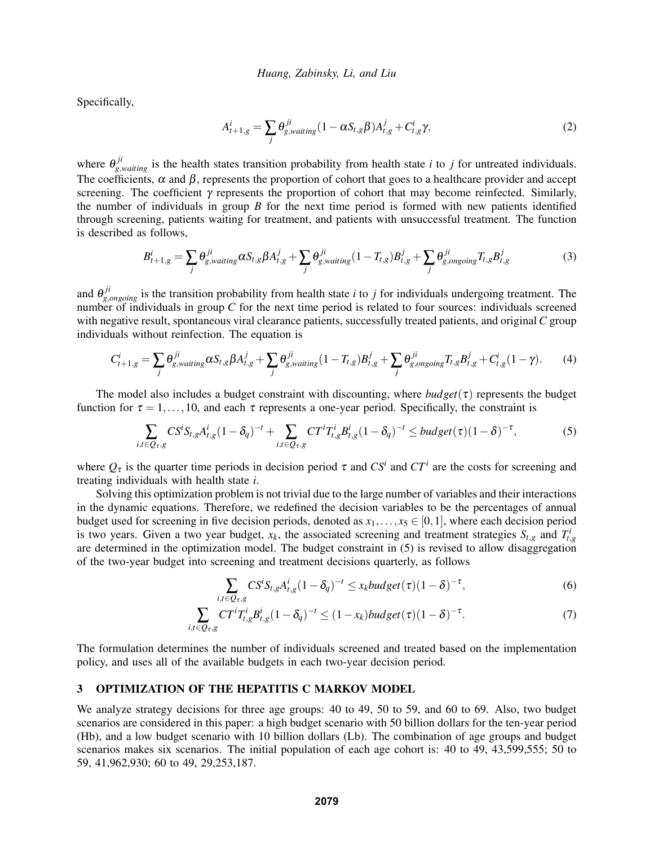Specifically,

$$
A_{t+1,g}^i = \sum_j \theta_{g,wating}^{ji} (1 - \alpha S_{t,g} \beta) A_{t,g}^j + C_{t,g}^i \gamma,
$$
\n<sup>(2)</sup>

where  $\theta_{g, waiting}^{ji}$  is the health states transition probability from health state *i* to *j* for untreated individuals. The coefficients,  $\alpha$  and  $\beta$ , represents the proportion of cohort that goes to a healthcare provider and accept screening. The coefficient  $\gamma$  represents the proportion of cohort that may become reinfected. Similarly, the number of individuals in group *B* for the next time period is formed with new patients identified through screening, patients waiting for treatment, and patients with unsuccessful treatment. The function is described as follows,

$$
B_{t+1,g}^i = \sum_j \theta_{g,wating}^{ji} \alpha S_{t,g} \beta A_{t,g}^j + \sum_j \theta_{g,wating}^{ji} (1 - T_{t,g}) B_{t,g}^j + \sum_j \theta_{g,ongoing}^{ji} T_{t,g} B_{t,g}^j
$$
(3)

and  $\theta_{g,ongoing}^{ji}$  is the transition probability from health state *i* to *j* for individuals undergoing treatment. The number of individuals in group *C* for the next time period is related to four sources: individuals screened with negative result, spontaneous viral clearance patients, successfully treated patients, and original *C* group individuals without reinfection. The equation is

$$
C_{t+1,g}^i = \sum_j \theta_{g,wating}^{ji} \alpha S_{t,g} \beta A_{t,g}^j + \sum_j \theta_{g,wating}^{ji} (1 - T_{t,g}) B_{t,g}^j + \sum_j \theta_{g,ongoing}^{ji} T_{t,g} B_{t,g}^j + C_{t,g}^i (1 - \gamma).
$$
 (4)

The model also includes a budget constraint with discounting, where  $budget(\tau)$  represents the budget function for  $\tau = 1, \ldots, 10$ , and each  $\tau$  represents a one-year period. Specifically, the constraint is

$$
\sum_{i,t\in Q_{\tau},g} CS^i S_{t,g} A_{t,g}^i (1-\delta_q)^{-t} + \sum_{i,t\in Q_{\tau},g} CT^i T_{t,g}^i B_{t,g}^i (1-\delta_q)^{-t} \leq budget(\tau)(1-\delta)^{-\tau},\tag{5}
$$

where  $Q_{\tau}$  is the quarter time periods in decision period  $\tau$  and  $CS^i$  and  $CT^i$  are the costs for screening and treating individuals with health state *i*.

Solving this optimization problem is not trivial due to the large number of variables and their interactions in the dynamic equations. Therefore, we redefined the decision variables to be the percentages of annual budget used for screening in five decision periods, denoted as  $x_1, \ldots, x_5 \in [0,1]$ , where each decision period is two years. Given a two year budget,  $x_k$ , the associated screening and treatment strategies  $S_{t,g}$  and  $T_{t,g}^i$ are determined in the optimization model. The budget constraint in (5) is revised to allow disaggregation of the two-year budget into screening and treatment decisions quarterly, as follows

$$
\sum_{i,t\in Q_{\tau},g} CS^{i}S_{t,g}A_{t,g}^{i}(1-\delta_{q})^{-t} \leq x_{k}budget(\tau)(1-\delta)^{-\tau},
$$
\n(6)

$$
\sum_{i,t \in Q_{\tau},g} CT^i T^i_{t,g} B^i_{t,g} (1 - \delta_q)^{-t} \le (1 - x_k) \text{budget}(\tau) (1 - \delta)^{-\tau}.
$$
 (7)

The formulation determines the number of individuals screened and treated based on the implementation policy, and uses all of the available budgets in each two-year decision period.

## 3 OPTIMIZATION OF THE HEPATITIS C MARKOV MODEL

We analyze strategy decisions for three age groups: 40 to 49, 50 to 59, and 60 to 69. Also, two budget scenarios are considered in this paper: a high budget scenario with 50 billion dollars for the ten-year period (Hb), and a low budget scenario with 10 billion dollars (Lb). The combination of age groups and budget scenarios makes six scenarios. The initial population of each age cohort is: 40 to 49, 43,599,555; 50 to 59, 41,962,930; 60 to 49, 29,253,187.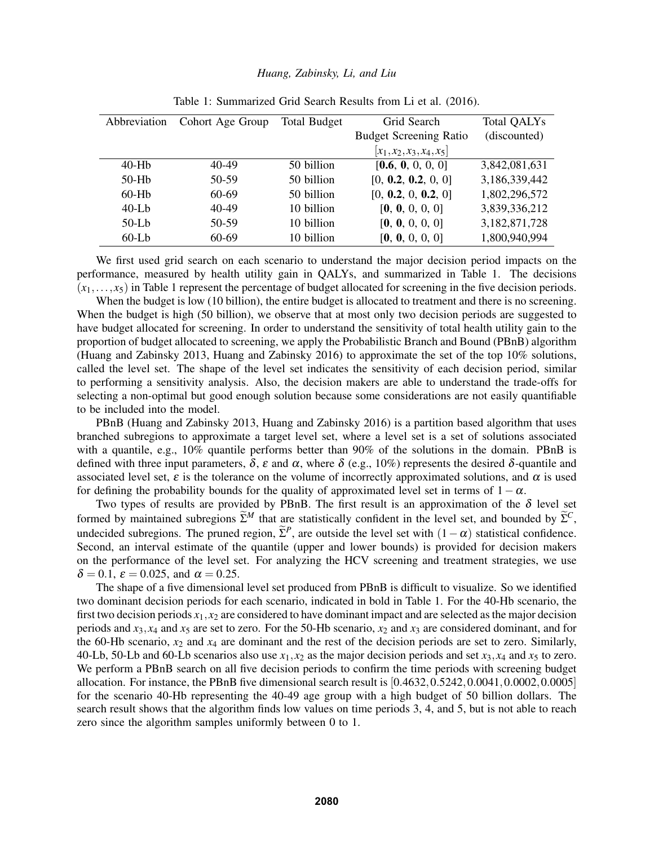| Abbreviation | Cohort Age Group | <b>Total Budget</b> | Grid Search                   | <b>Total QALYs</b> |
|--------------|------------------|---------------------|-------------------------------|--------------------|
|              |                  |                     | <b>Budget Screening Ratio</b> | (discounted)       |
|              |                  |                     | $[x_1, x_2, x_3, x_4, x_5]$   |                    |
| $40-Hb$      | $40 - 49$        | 50 billion          | [0.6, 0, 0, 0, 0]             | 3,842,081,631      |
| $50-Hb$      | 50-59            | 50 billion          | [0, 0.2, 0.2, 0, 0]           | 3,186,339,442      |
| $60-Hb$      | 60-69            | 50 billion          | [0, 0.2, 0, 0.2, 0]           | 1,802,296,572      |
| $40-Lb$      | $40 - 49$        | 10 billion          | [0, 0, 0, 0, 0]               | 3,839,336,212      |
| $50-Lb$      | 50-59            | 10 billion          | [0, 0, 0, 0, 0]               | 3,182,871,728      |
| $60-Lb$      | 60-69            | 10 billion          | [0, 0, 0, 0, 0]               | 1,800,940,994      |

Table 1: Summarized Grid Search Results from Li et al. (2016).

We first used grid search on each scenario to understand the major decision period impacts on the performance, measured by health utility gain in QALYs, and summarized in Table 1. The decisions  $(x_1, \ldots, x_5)$  in Table 1 represent the percentage of budget allocated for screening in the five decision periods.

When the budget is low (10 billion), the entire budget is allocated to treatment and there is no screening. When the budget is high (50 billion), we observe that at most only two decision periods are suggested to have budget allocated for screening. In order to understand the sensitivity of total health utility gain to the proportion of budget allocated to screening, we apply the Probabilistic Branch and Bound (PBnB) algorithm (Huang and Zabinsky 2013, Huang and Zabinsky 2016) to approximate the set of the top 10% solutions, called the level set. The shape of the level set indicates the sensitivity of each decision period, similar to performing a sensitivity analysis. Also, the decision makers are able to understand the trade-offs for selecting a non-optimal but good enough solution because some considerations are not easily quantifiable to be included into the model.

PBnB (Huang and Zabinsky 2013, Huang and Zabinsky 2016) is a partition based algorithm that uses branched subregions to approximate a target level set, where a level set is a set of solutions associated with a quantile, e.g., 10% quantile performs better than 90% of the solutions in the domain. PBnB is defined with three input parameters,  $\delta$ ,  $\varepsilon$  and  $\alpha$ , where  $\delta$  (e.g., 10%) represents the desired  $\delta$ -quantile and associated level set,  $\varepsilon$  is the tolerance on the volume of incorrectly approximated solutions, and  $\alpha$  is used for defining the probability bounds for the quality of approximated level set in terms of  $1-\alpha$ .

Two types of results are provided by PBnB. The first result is an approximation of the  $\delta$  level set formed by maintained subregions  $\widetilde{\Sigma}^M$  that are statistically confident in the level set, and bounded by  $\widetilde{\Sigma}^C$ , undecided subregions. The pruned region,  $\tilde{\Sigma}^P$ , are outside the level set with  $(1-\alpha)$  statistical confidence. Second, an interval estimate of the quantile (upper and lower bounds) is provided for decision makers on the performance of the level set. For analyzing the HCV screening and treatment strategies, we use  $\delta = 0.1$ ,  $\varepsilon = 0.025$ , and  $\alpha = 0.25$ .

The shape of a five dimensional level set produced from PBnB is difficult to visualize. So we identified two dominant decision periods for each scenario, indicated in bold in Table 1. For the 40-Hb scenario, the first two decision periods  $x_1, x_2$  are considered to have dominant impact and are selected as the major decision periods and  $x_3$ ,  $x_4$  and  $x_5$  are set to zero. For the 50-Hb scenario,  $x_2$  and  $x_3$  are considered dominant, and for the 60-Hb scenario,  $x_2$  and  $x_4$  are dominant and the rest of the decision periods are set to zero. Similarly, 40-Lb, 50-Lb and 60-Lb scenarios also use  $x_1, x_2$  as the major decision periods and set  $x_3, x_4$  and  $x_5$  to zero. We perform a PBnB search on all five decision periods to confirm the time periods with screening budget allocation. For instance, the PBnB five dimensional search result is  $[0.4632, 0.5242, 0.0041, 0.0002, 0.0005]$ for the scenario 40-Hb representing the 40-49 age group with a high budget of 50 billion dollars. The search result shows that the algorithm finds low values on time periods 3, 4, and 5, but is not able to reach zero since the algorithm samples uniformly between 0 to 1.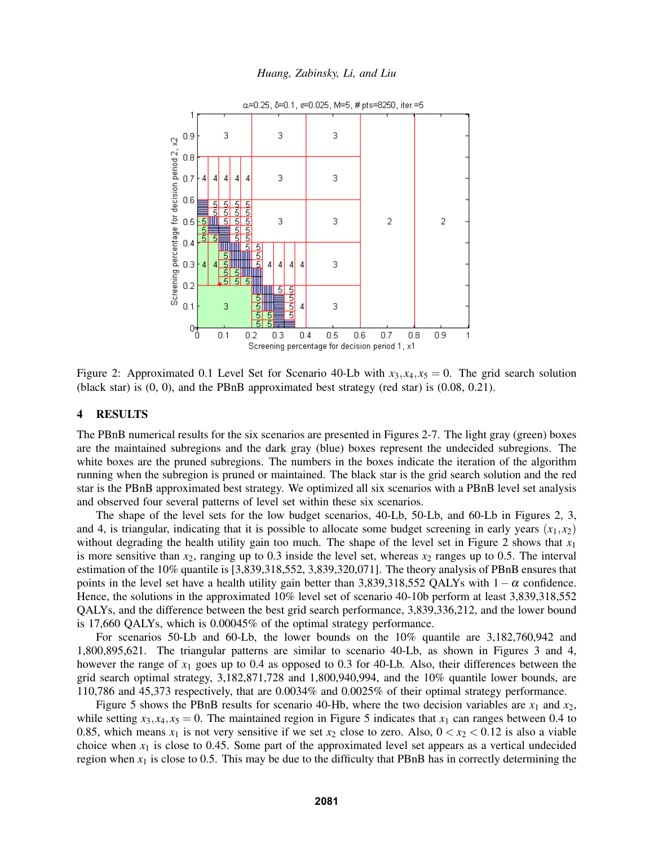

*Huang, Zabinsky, Li, and Liu*

Figure 2: Approximated 0.1 Level Set for Scenario 40-Lb with  $x_3, x_4, x_5 = 0$ . The grid search solution (black star) is (0, 0), and the PBnB approximated best strategy (red star) is (0.08, 0.21).

### 4 RESULTS

The PBnB numerical results for the six scenarios are presented in Figures 2-7. The light gray (green) boxes are the maintained subregions and the dark gray (blue) boxes represent the undecided subregions. The white boxes are the pruned subregions. The numbers in the boxes indicate the iteration of the algorithm running when the subregion is pruned or maintained. The black star is the grid search solution and the red star is the PBnB approximated best strategy. We optimized all six scenarios with a PBnB level set analysis and observed four several patterns of level set within these six scenarios.

The shape of the level sets for the low budget scenarios, 40-Lb, 50-Lb, and 60-Lb in Figures 2, 3, and 4, is triangular, indicating that it is possible to allocate some budget screening in early years  $(x_1, x_2)$ without degrading the health utility gain too much. The shape of the level set in Figure 2 shows that  $x_1$ is more sensitive than  $x_2$ , ranging up to 0.3 inside the level set, whereas  $x_2$  ranges up to 0.5. The interval estimation of the 10% quantile is [3,839,318,552, 3,839,320,071]. The theory analysis of PBnB ensures that points in the level set have a health utility gain better than 3,839,318,552 QALYs with  $1-\alpha$  confidence. Hence, the solutions in the approximated 10% level set of scenario 40-10b perform at least 3,839,318,552 QALYs, and the difference between the best grid search performance, 3,839,336,212, and the lower bound is 17,660 QALYs, which is 0.00045% of the optimal strategy performance.

For scenarios 50-Lb and 60-Lb, the lower bounds on the 10% quantile are 3,182,760,942 and 1,800,895,621. The triangular patterns are similar to scenario 40-Lb, as shown in Figures 3 and 4, however the range of *x*<sup>1</sup> goes up to 0.4 as opposed to 0.3 for 40-Lb. Also, their differences between the grid search optimal strategy, 3,182,871,728 and 1,800,940,994, and the 10% quantile lower bounds, are 110,786 and 45,373 respectively, that are 0.0034% and 0.0025% of their optimal strategy performance.

Figure 5 shows the PBnB results for scenario 40-Hb, where the two decision variables are  $x_1$  and  $x_2$ , while setting  $x_3, x_4, x_5 = 0$ . The maintained region in Figure 5 indicates that  $x_1$  can ranges between 0.4 to 0.85, which means  $x_1$  is not very sensitive if we set  $x_2$  close to zero. Also,  $0 < x_2 < 0.12$  is also a viable choice when  $x_1$  is close to 0.45. Some part of the approximated level set appears as a vertical undecided region when  $x_1$  is close to 0.5. This may be due to the difficulty that PBnB has in correctly determining the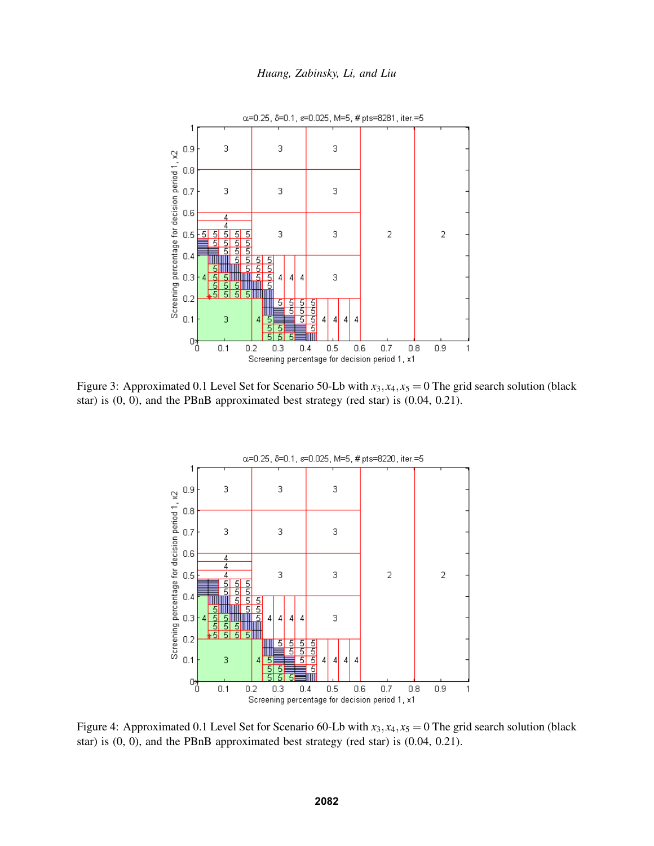



Figure 3: Approximated 0.1 Level Set for Scenario 50-Lb with  $x_3, x_4, x_5 = 0$  The grid search solution (black star) is (0, 0), and the PBnB approximated best strategy (red star) is (0.04, 0.21).



Figure 4: Approximated 0.1 Level Set for Scenario 60-Lb with  $x_3, x_4, x_5 = 0$  The grid search solution (black star) is (0, 0), and the PBnB approximated best strategy (red star) is (0.04, 0.21).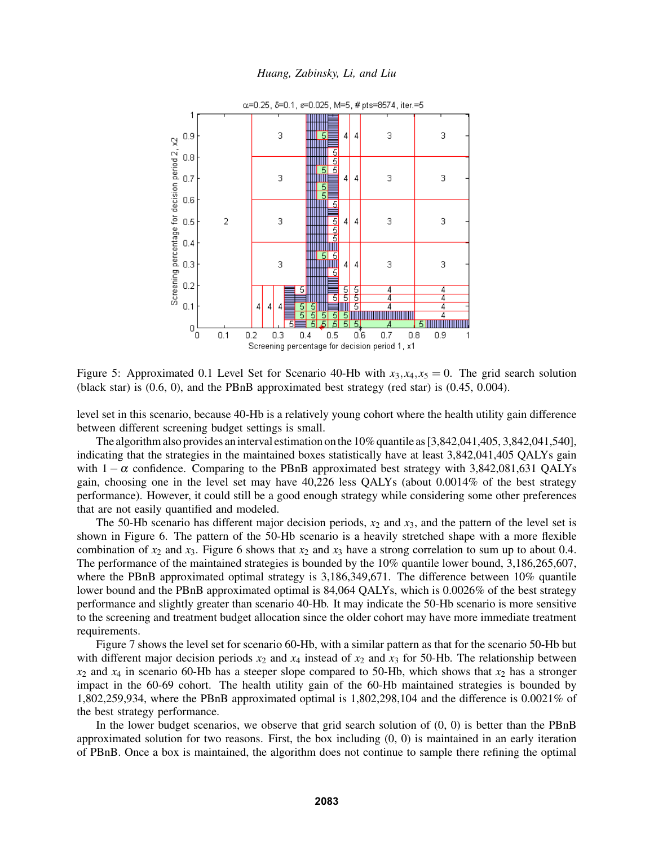

Figure 5: Approximated 0.1 Level Set for Scenario 40-Hb with  $x_3, x_4, x_5 = 0$ . The grid search solution (black star) is (0.6, 0), and the PBnB approximated best strategy (red star) is (0.45, 0.004).

level set in this scenario, because 40-Hb is a relatively young cohort where the health utility gain difference between different screening budget settings is small.

The algorithm also provides an interval estimation on the 10% quantile as [3,842,041,405, 3,842,041,540], indicating that the strategies in the maintained boxes statistically have at least 3,842,041,405 QALYs gain with  $1-\alpha$  confidence. Comparing to the PBnB approximated best strategy with 3,842,081,631 QALYs gain, choosing one in the level set may have 40,226 less QALYs (about 0.0014% of the best strategy performance). However, it could still be a good enough strategy while considering some other preferences that are not easily quantified and modeled.

The 50-Hb scenario has different major decision periods,  $x_2$  and  $x_3$ , and the pattern of the level set is shown in Figure 6. The pattern of the 50-Hb scenario is a heavily stretched shape with a more flexible combination of  $x_2$  and  $x_3$ . Figure 6 shows that  $x_2$  and  $x_3$  have a strong correlation to sum up to about 0.4. The performance of the maintained strategies is bounded by the 10% quantile lower bound, 3,186,265,607, where the PBnB approximated optimal strategy is 3,186,349,671. The difference between 10% quantile lower bound and the PBnB approximated optimal is 84,064 QALYs, which is 0.0026% of the best strategy performance and slightly greater than scenario 40-Hb. It may indicate the 50-Hb scenario is more sensitive to the screening and treatment budget allocation since the older cohort may have more immediate treatment requirements.

Figure 7 shows the level set for scenario 60-Hb, with a similar pattern as that for the scenario 50-Hb but with different major decision periods  $x_2$  and  $x_4$  instead of  $x_2$  and  $x_3$  for 50-Hb. The relationship between  $x_2$  and  $x_4$  in scenario 60-Hb has a steeper slope compared to 50-Hb, which shows that  $x_2$  has a stronger impact in the 60-69 cohort. The health utility gain of the 60-Hb maintained strategies is bounded by 1,802,259,934, where the PBnB approximated optimal is 1,802,298,104 and the difference is 0.0021% of the best strategy performance.

In the lower budget scenarios, we observe that grid search solution of (0, 0) is better than the PBnB approximated solution for two reasons. First, the box including (0, 0) is maintained in an early iteration of PBnB. Once a box is maintained, the algorithm does not continue to sample there refining the optimal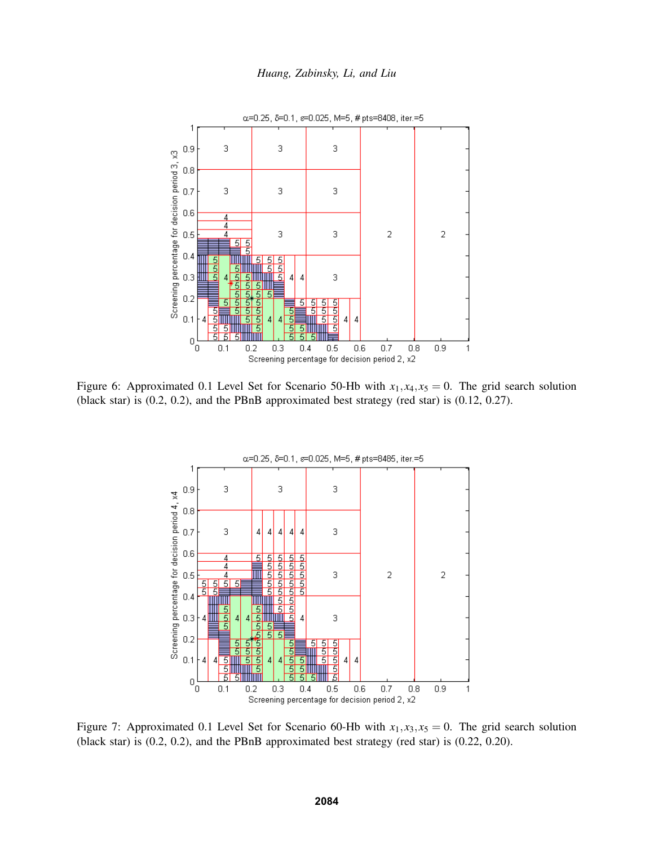



Figure 6: Approximated 0.1 Level Set for Scenario 50-Hb with  $x_1, x_4, x_5 = 0$ . The grid search solution (black star) is (0.2, 0.2), and the PBnB approximated best strategy (red star) is (0.12, 0.27).



Figure 7: Approximated 0.1 Level Set for Scenario 60-Hb with  $x_1, x_3, x_5 = 0$ . The grid search solution (black star) is (0.2, 0.2), and the PBnB approximated best strategy (red star) is (0.22, 0.20).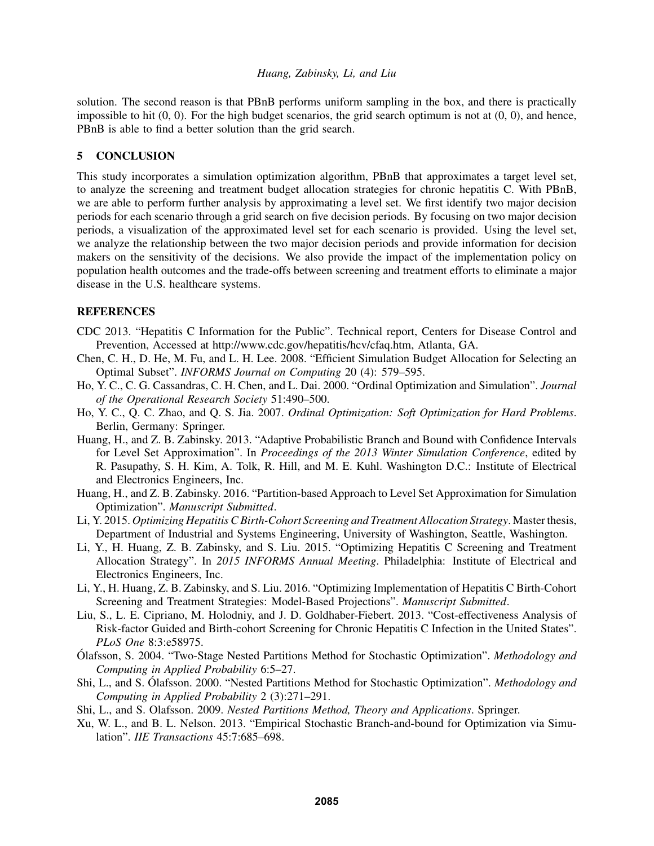solution. The second reason is that PBnB performs uniform sampling in the box, and there is practically impossible to hit  $(0, 0)$ . For the high budget scenarios, the grid search optimum is not at  $(0, 0)$ , and hence, PBnB is able to find a better solution than the grid search.

## 5 CONCLUSION

This study incorporates a simulation optimization algorithm, PBnB that approximates a target level set, to analyze the screening and treatment budget allocation strategies for chronic hepatitis C. With PBnB, we are able to perform further analysis by approximating a level set. We first identify two major decision periods for each scenario through a grid search on five decision periods. By focusing on two major decision periods, a visualization of the approximated level set for each scenario is provided. Using the level set, we analyze the relationship between the two major decision periods and provide information for decision makers on the sensitivity of the decisions. We also provide the impact of the implementation policy on population health outcomes and the trade-offs between screening and treatment efforts to eliminate a major disease in the U.S. healthcare systems.

# **REFERENCES**

- CDC 2013. "Hepatitis C Information for the Public". Technical report, Centers for Disease Control and Prevention, Accessed at http://www.cdc.gov/hepatitis/hcv/cfaq.htm, Atlanta, GA.
- Chen, C. H., D. He, M. Fu, and L. H. Lee. 2008. "Efficient Simulation Budget Allocation for Selecting an Optimal Subset". *INFORMS Journal on Computing* 20 (4): 579–595.
- Ho, Y. C., C. G. Cassandras, C. H. Chen, and L. Dai. 2000. "Ordinal Optimization and Simulation". *Journal of the Operational Research Society* 51:490–500.
- Ho, Y. C., Q. C. Zhao, and Q. S. Jia. 2007. *Ordinal Optimization: Soft Optimization for Hard Problems*. Berlin, Germany: Springer.
- Huang, H., and Z. B. Zabinsky. 2013. "Adaptive Probabilistic Branch and Bound with Confidence Intervals for Level Set Approximation". In *Proceedings of the 2013 Winter Simulation Conference*, edited by R. Pasupathy, S. H. Kim, A. Tolk, R. Hill, and M. E. Kuhl. Washington D.C.: Institute of Electrical and Electronics Engineers, Inc.
- Huang, H., and Z. B. Zabinsky. 2016. "Partition-based Approach to Level Set Approximation for Simulation Optimization". *Manuscript Submitted*.
- Li, Y. 2015. *Optimizing Hepatitis C Birth-Cohort Screening and Treatment Allocation Strategy*. Master thesis, Department of Industrial and Systems Engineering, University of Washington, Seattle, Washington.
- Li, Y., H. Huang, Z. B. Zabinsky, and S. Liu. 2015. "Optimizing Hepatitis C Screening and Treatment Allocation Strategy". In *2015 INFORMS Annual Meeting*. Philadelphia: Institute of Electrical and Electronics Engineers, Inc.
- Li, Y., H. Huang, Z. B. Zabinsky, and S. Liu. 2016. "Optimizing Implementation of Hepatitis C Birth-Cohort Screening and Treatment Strategies: Model-Based Projections". *Manuscript Submitted*.
- Liu, S., L. E. Cipriano, M. Holodniy, and J. D. Goldhaber-Fiebert. 2013. "Cost-effectiveness Analysis of Risk-factor Guided and Birth-cohort Screening for Chronic Hepatitis C Infection in the United States". *PLoS One* 8:3:e58975.
- Olafsson, S. 2004. "Two-Stage Nested Partitions Method for Stochastic Optimization". ´ *Methodology and Computing in Applied Probability* 6:5–27.
- Shi, L., and S. Ólafsson. 2000. "Nested Partitions Method for Stochastic Optimization". *Methodology and Computing in Applied Probability* 2 (3):271–291.
- Shi, L., and S. Olafsson. 2009. *Nested Partitions Method, Theory and Applications*. Springer.
- Xu, W. L., and B. L. Nelson. 2013. "Empirical Stochastic Branch-and-bound for Optimization via Simulation". *IIE Transactions* 45:7:685–698.